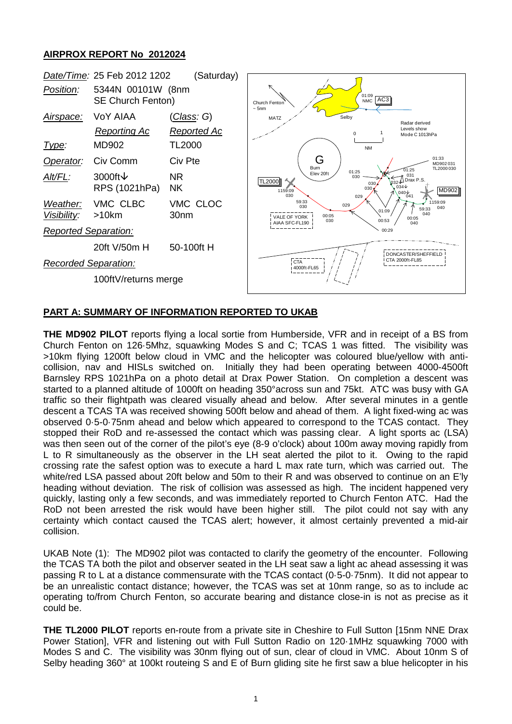## **AIRPROX REPORT No 2012024**



## **PART A: SUMMARY OF INFORMATION REPORTED TO UKAB**

**THE MD902 PILOT** reports flying a local sortie from Humberside, VFR and in receipt of a BS from Church Fenton on 126·5Mhz, squawking Modes S and C; TCAS 1 was fitted. The visibility was >10km flying 1200ft below cloud in VMC and the helicopter was coloured blue/yellow with anticollision, nav and HISLs switched on. Initially they had been operating between 4000-4500ft Barnsley RPS 1021hPa on a photo detail at Drax Power Station. On completion a descent was started to a planned altitude of 1000ft on heading 350°across sun and 75kt. ATC was busy with GA traffic so their flightpath was cleared visually ahead and below. After several minutes in a gentle descent a TCAS TA was received showing 500ft below and ahead of them. A light fixed-wing ac was observed 0·5-0·75nm ahead and below which appeared to correspond to the TCAS contact. They stopped their RoD and re-assessed the contact which was passing clear. A light sports ac (LSA) was then seen out of the corner of the pilot's eye (8-9 o'clock) about 100m away moving rapidly from L to R simultaneously as the observer in the LH seat alerted the pilot to it. Owing to the rapid crossing rate the safest option was to execute a hard L max rate turn, which was carried out. The white/red LSA passed about 20ft below and 50m to their R and was observed to continue on an E'ly heading without deviation. The risk of collision was assessed as high. The incident happened very quickly, lasting only a few seconds, and was immediately reported to Church Fenton ATC. Had the RoD not been arrested the risk would have been higher still. The pilot could not say with any certainty which contact caused the TCAS alert; however, it almost certainly prevented a mid-air collision.

UKAB Note (1): The MD902 pilot was contacted to clarify the geometry of the encounter. Following the TCAS TA both the pilot and observer seated in the LH seat saw a light ac ahead assessing it was passing R to L at a distance commensurate with the TCAS contact (0·5-0·75nm). It did not appear to be an unrealistic contact distance; however, the TCAS was set at 10nm range, so as to include ac operating to/from Church Fenton, so accurate bearing and distance close-in is not as precise as it could be.

**THE TL2000 PILOT** reports en-route from a private site in Cheshire to Full Sutton [15nm NNE Drax Power Station], VFR and listening out with Full Sutton Radio on 120·1MHz squawking 7000 with Modes S and C. The visibility was 30nm flying out of sun, clear of cloud in VMC. About 10nm S of Selby heading 360° at 100kt routeing S and E of Burn gliding site he first saw a blue helicopter in his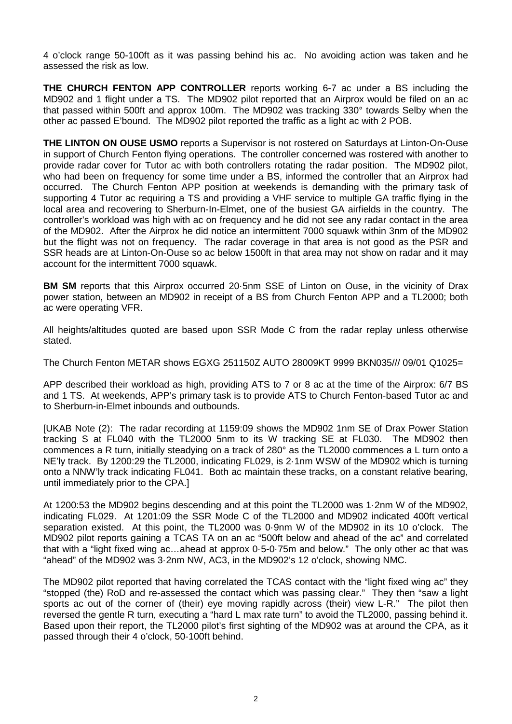4 o'clock range 50-100ft as it was passing behind his ac. No avoiding action was taken and he assessed the risk as low.

**THE CHURCH FENTON APP CONTROLLER** reports working 6-7 ac under a BS including the MD902 and 1 flight under a TS. The MD902 pilot reported that an Airprox would be filed on an ac that passed within 500ft and approx 100m. The MD902 was tracking 330° towards Selby when the other ac passed E'bound. The MD902 pilot reported the traffic as a light ac with 2 POB.

**THE LINTON ON OUSE USMO** reports a Supervisor is not rostered on Saturdays at Linton-On-Ouse in support of Church Fenton flying operations. The controller concerned was rostered with another to provide radar cover for Tutor ac with both controllers rotating the radar position. The MD902 pilot, who had been on frequency for some time under a BS, informed the controller that an Airprox had occurred. The Church Fenton APP position at weekends is demanding with the primary task of supporting 4 Tutor ac requiring a TS and providing a VHF service to multiple GA traffic flying in the local area and recovering to Sherburn-In-Elmet, one of the busiest GA airfields in the country. The controller's workload was high with ac on frequency and he did not see any radar contact in the area of the MD902. After the Airprox he did notice an intermittent 7000 squawk within 3nm of the MD902 but the flight was not on frequency. The radar coverage in that area is not good as the PSR and SSR heads are at Linton-On-Ouse so ac below 1500ft in that area may not show on radar and it may account for the intermittent 7000 squawk.

**BM SM** reports that this Airprox occurred 20·5nm SSE of Linton on Ouse, in the vicinity of Drax power station, between an MD902 in receipt of a BS from Church Fenton APP and a TL2000; both ac were operating VFR.

All heights/altitudes quoted are based upon SSR Mode C from the radar replay unless otherwise stated.

The Church Fenton METAR shows EGXG 251150Z AUTO 28009KT 9999 BKN035/// 09/01 Q1025=

APP described their workload as high, providing ATS to 7 or 8 ac at the time of the Airprox: 6/7 BS and 1 TS. At weekends, APP's primary task is to provide ATS to Church Fenton-based Tutor ac and to Sherburn-in-Elmet inbounds and outbounds.

[UKAB Note (2): The radar recording at 1159:09 shows the MD902 1nm SE of Drax Power Station tracking S at FL040 with the TL2000 5nm to its W tracking SE at FL030. The MD902 then commences a R turn, initially steadying on a track of 280° as the TL2000 commences a L turn onto a NE'ly track. By 1200:29 the TL2000, indicating FL029, is 2·1nm WSW of the MD902 which is turning onto a NNW'ly track indicating FL041. Both ac maintain these tracks, on a constant relative bearing, until immediately prior to the CPA.]

At 1200:53 the MD902 begins descending and at this point the TL2000 was 1·2nm W of the MD902, indicating FL029. At 1201:09 the SSR Mode C of the TL2000 and MD902 indicated 400ft vertical separation existed. At this point, the TL2000 was 0·9nm W of the MD902 in its 10 o'clock. The MD902 pilot reports gaining a TCAS TA on an ac "500ft below and ahead of the ac" and correlated that with a "light fixed wing ac…ahead at approx 0·5-0·75m and below." The only other ac that was "ahead" of the MD902 was 3·2nm NW, AC3, in the MD902's 12 o'clock, showing NMC.

The MD902 pilot reported that having correlated the TCAS contact with the "light fixed wing ac" they "stopped (the) RoD and re-assessed the contact which was passing clear." They then "saw a light sports ac out of the corner of (their) eye moving rapidly across (their) view L-R." The pilot then reversed the gentle R turn, executing a "hard L max rate turn" to avoid the TL2000, passing behind it. Based upon their report, the TL2000 pilot's first sighting of the MD902 was at around the CPA, as it passed through their 4 o'clock, 50-100ft behind.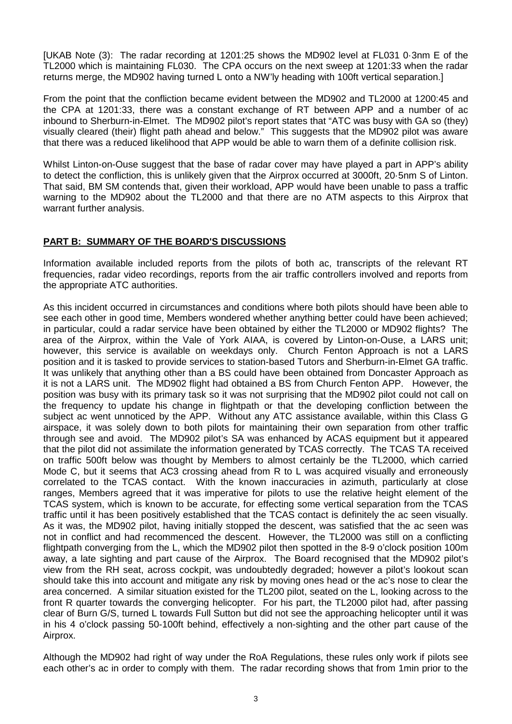[UKAB Note (3): The radar recording at 1201:25 shows the MD902 level at FL031 0·3nm E of the TL2000 which is maintaining FL030. The CPA occurs on the next sweep at 1201:33 when the radar returns merge, the MD902 having turned L onto a NW'ly heading with 100ft vertical separation.]

From the point that the confliction became evident between the MD902 and TL2000 at 1200:45 and the CPA at 1201:33, there was a constant exchange of RT between APP and a number of ac inbound to Sherburn-in-Elmet. The MD902 pilot's report states that "ATC was busy with GA so (they) visually cleared (their) flight path ahead and below." This suggests that the MD902 pilot was aware that there was a reduced likelihood that APP would be able to warn them of a definite collision risk.

Whilst Linton-on-Ouse suggest that the base of radar cover may have played a part in APP's ability to detect the confliction, this is unlikely given that the Airprox occurred at 3000ft, 20·5nm S of Linton. That said, BM SM contends that, given their workload, APP would have been unable to pass a traffic warning to the MD902 about the TL2000 and that there are no ATM aspects to this Airprox that warrant further analysis.

## **PART B: SUMMARY OF THE BOARD'S DISCUSSIONS**

Information available included reports from the pilots of both ac, transcripts of the relevant RT frequencies, radar video recordings, reports from the air traffic controllers involved and reports from the appropriate ATC authorities.

As this incident occurred in circumstances and conditions where both pilots should have been able to see each other in good time, Members wondered whether anything better could have been achieved; in particular, could a radar service have been obtained by either the TL2000 or MD902 flights? The area of the Airprox, within the Vale of York AIAA, is covered by Linton-on-Ouse, a LARS unit; however, this service is available on weekdays only. Church Fenton Approach is not a LARS position and it is tasked to provide services to station-based Tutors and Sherburn-in-Elmet GA traffic. It was unlikely that anything other than a BS could have been obtained from Doncaster Approach as it is not a LARS unit. The MD902 flight had obtained a BS from Church Fenton APP. However, the position was busy with its primary task so it was not surprising that the MD902 pilot could not call on the frequency to update his change in flightpath or that the developing confliction between the subject ac went unnoticed by the APP. Without any ATC assistance available, within this Class G airspace, it was solely down to both pilots for maintaining their own separation from other traffic through see and avoid. The MD902 pilot's SA was enhanced by ACAS equipment but it appeared that the pilot did not assimilate the information generated by TCAS correctly. The TCAS TA received on traffic 500ft below was thought by Members to almost certainly be the TL2000, which carried Mode C, but it seems that AC3 crossing ahead from R to L was acquired visually and erroneously correlated to the TCAS contact. With the known inaccuracies in azimuth, particularly at close ranges, Members agreed that it was imperative for pilots to use the relative height element of the TCAS system, which is known to be accurate, for effecting some vertical separation from the TCAS traffic until it has been positively established that the TCAS contact is definitely the ac seen visually. As it was, the MD902 pilot, having initially stopped the descent, was satisfied that the ac seen was not in conflict and had recommenced the descent. However, the TL2000 was still on a conflicting flightpath converging from the L, which the MD902 pilot then spotted in the 8-9 o'clock position 100m away, a late sighting and part cause of the Airprox. The Board recognised that the MD902 pilot's view from the RH seat, across cockpit, was undoubtedly degraded; however a pilot's lookout scan should take this into account and mitigate any risk by moving ones head or the ac's nose to clear the area concerned. A similar situation existed for the TL200 pilot, seated on the L, looking across to the front R quarter towards the converging helicopter. For his part, the TL2000 pilot had, after passing clear of Burn G/S, turned L towards Full Sutton but did not see the approaching helicopter until it was in his 4 o'clock passing 50-100ft behind, effectively a non-sighting and the other part cause of the Airprox.

Although the MD902 had right of way under the RoA Regulations, these rules only work if pilots see each other's ac in order to comply with them. The radar recording shows that from 1min prior to the